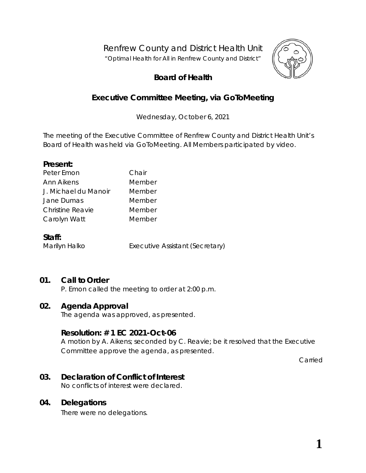Renfrew County and District Health Unit

*"Optimal Health for All in Renfrew County and District"*



# **Board of Health**

# **Executive Committee Meeting, via** *GoToMeeting*

Wednesday, October 6, 2021

The meeting of the Executive Committee of Renfrew County and District Health Unit's Board of Health was held via *GoToMeeting*. All Members participated by video.

#### **Present:**

| Peter Emon           | Chair  |
|----------------------|--------|
| Ann Aikens           | Member |
| J. Michael du Manoir | Member |
| Jane Dumas           | Member |
| Christine Reavie     | Member |
| Carolyn Watt         | Member |
|                      |        |

#### **Staff:**

Marilyn Halko Executive Assistant (Secretary)

## **01. Call to Order**

P. Emon called the meeting to order at 2:00 p.m.

### **02. Agenda Approval**

The agenda was approved, as presented.

### **Resolution: # 1 EC 2021-Oct-06**

A motion by A. Aikens; seconded by C. Reavie; be it resolved that the Executive Committee approve the agenda, as presented.

Carried

## **03. Declaration of Conflict of Interest**

No conflicts of interest were declared.

### **04. Delegations**

There were no delegations.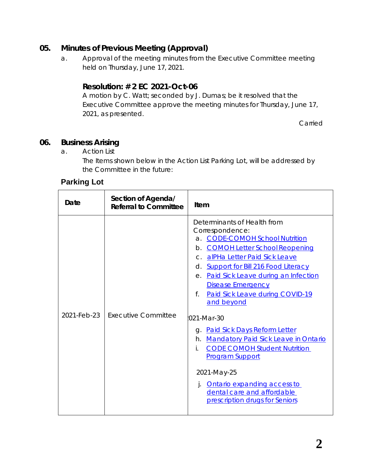## **05. Minutes of Previous Meeting (Approval)**

a. Approval of the meeting minutes from the Executive Committee meeting held on Thursday, June 17, 2021.

## **Resolution: # 2 EC 2021-Oct-06**

A motion by C. Watt; seconded by J. Dumas; be it resolved that the Executive Committee approve the meeting minutes for Thursday, June 17, 2021, as presented.

Carried

## **06. Business Arising**

a. Action List

The Items shown below in the Action List Parking Lot, will be addressed by the Committee in the future:

## **Parking Lot**

| Date        | Section of Agenda/<br><b>Referral to Committee</b> | Item                                                                                                                                                                                                                                                                                                                                                                                                                                                                                                                                                                                                                     |
|-------------|----------------------------------------------------|--------------------------------------------------------------------------------------------------------------------------------------------------------------------------------------------------------------------------------------------------------------------------------------------------------------------------------------------------------------------------------------------------------------------------------------------------------------------------------------------------------------------------------------------------------------------------------------------------------------------------|
| 2021-Feb-23 | Executive Committee                                | Determinants of Health from<br>Correspondence:<br>a. CODE-COMOH School Nutrition<br>b. COMOH Letter School Reopening<br>c. alPHa Letter Paid Sick Leave<br>d. Support for Bill 216 Food Literacy<br>e. Paid Sick Leave during an Infection<br><b>Disease Emergency</b><br>Paid Sick Leave during COVID-19<br>f.<br>and beyond<br>021-Mar-30<br>g. Paid Sick Days Reform Letter<br><b>Mandatory Paid Sick Leave in Ontario</b><br>h.<br><b>CODE COMOH Student Nutrition</b><br>İ.<br><b>Program Support</b><br>2021-May-25<br>Ontario expanding access to<br>dental care and affordable<br>prescription drugs for Seniors |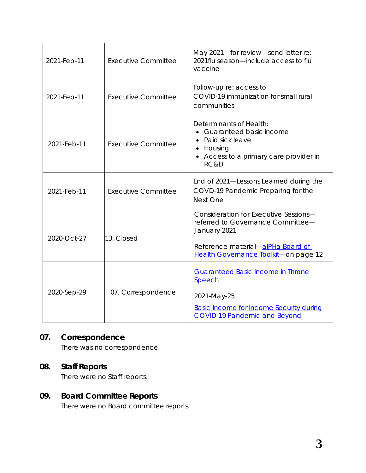| 2021-Feb-11 | <b>Executive Committee</b> | May 2021-for review-send letter re:<br>2021 flu season—include access to flu<br>vaccine                                                                                 |
|-------------|----------------------------|-------------------------------------------------------------------------------------------------------------------------------------------------------------------------|
| 2021-Feb-11 | <b>Executive Committee</b> | Follow-up re: access to<br>COVID-19 immunization for small rural<br>communities                                                                                         |
| 2021-Feb-11 | <b>Executive Committee</b> | Determinants of Health:<br><b>Guaranteed basic income</b><br>Paid sick leave<br>Housing<br>• Access to a primary care provider in<br>RC&D                               |
| 2021-Feb-11 | <b>Executive Committee</b> | End of 2021-Lessons Learned during the<br>COVD-19 Pandemic Preparing for the<br>Next One                                                                                |
| 2020-Oct-27 | 13. Closed                 | Consideration for Executive Sessions-<br>referred to Governance Committee-<br>January 2021<br>Reference material-alPHa Board of<br>Health Governance Toolkit-on page 12 |
| 2020-Sep-29 | 07. Correspondence         | <b>Guaranteed Basic Income in Throne</b><br>Speech<br>2021-May-25<br><b>Basic Income for Income Security during</b><br><b>COVID-19 Pandemic and Beyond</b>              |

# **07. Correspondence**

There was no correspondence.

# **08. Staff Reports**

There were no Staff reports.

# **09. Board Committee Reports**

There were no Board committee reports.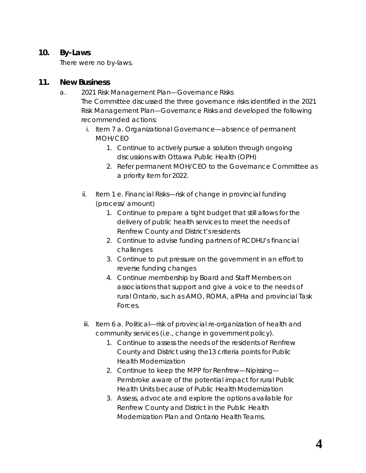### **10. By-Laws**

There were no by-laws.

### **11. New Business**

a. 2021 Risk Management Plan—Governance Risks

The Committee discussed the three governance risks identified in the 2021 Risk Management Plan—Governance Risks and developed the following recommended actions:

- i. Item 7 a. Organizational Governance—absence of permanent MOH/CEO
	- 1. Continue to actively pursue a solution through ongoing discussions with Ottawa Public Health (OPH)
	- 2. Refer permanent MOH/CEO to the Governance Committee as a priority item for 2022.
- ii. Item 1 e. Financial Risks—risk of change in provincial funding (process/ amount)
	- 1. Continue to prepare a tight budget that still allows for the delivery of public health services to meet the needs of Renfrew County and District's residents
	- 2. Continue to advise funding partners of RCDHU's financial challenges
	- 3. Continue to put pressure on the government in an effort to reverse funding changes
	- 4. Continue membership by Board and Staff Members on associations that support and give a voice to the needs of rural Ontario, such as AMO, ROMA, alPHa and provincial Task Forces.
- iii. Item 6 a. Political—risk of provincial re-organization of health and community services (i.e., change in government policy).
	- 1. Continue to assess the needs of the residents of Renfrew County and District using the13 criteria points for Public Health Modernization
	- 2. Continue to keep the MPP for Renfrew—Nipissing— Pembroke aware of the potential impact for rural Public Health Units because of Public Health Modernization
	- 3. Assess, advocate and explore the options available for Renfrew County and District in the Public Health Modernization Plan and Ontario Health Teams.